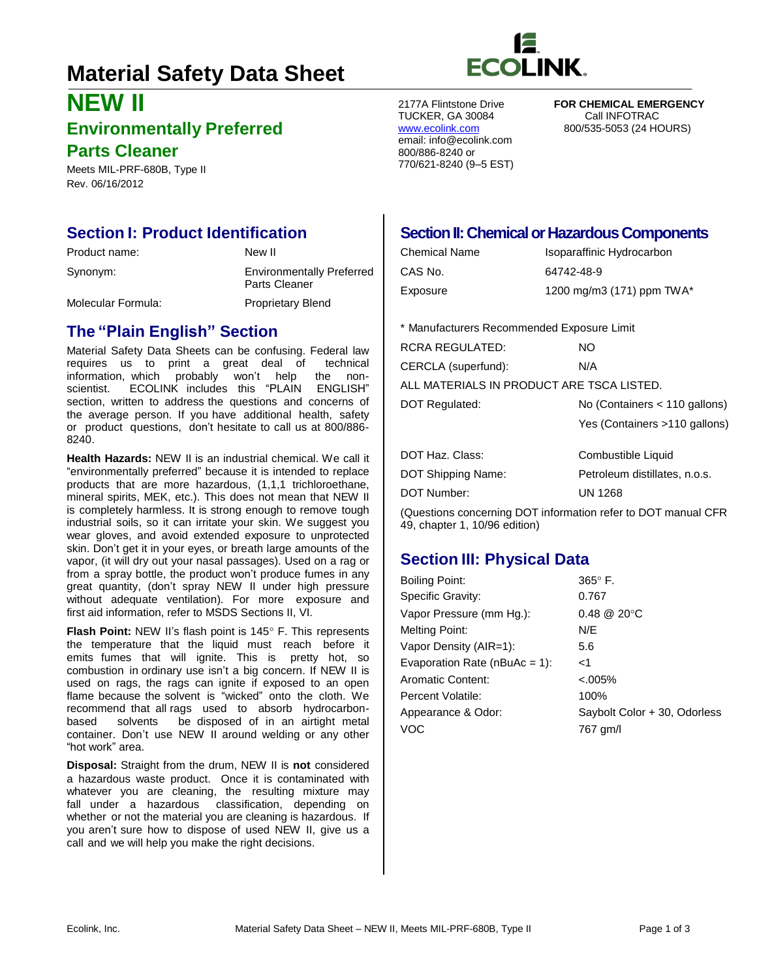# **Material Safety Data Sheet**

# **NEW II Environmentally Preferred**

# **Parts Cleaner**

Meets MIL-PRF-680B, Type II Rev. 06/16/2012

# **Section I: Product Identification**

| Product name:      | New II                                            |
|--------------------|---------------------------------------------------|
| Synonym:           | <b>Environmentally Preferred</b><br>Parts Cleaner |
| Molecular Formula: | <b>Proprietary Blend</b>                          |

# **The "Plain English" Section**

Material Safety Data Sheets can be confusing. Federal law requires us to print a great deal of technical information, which probably won't help the nonscientist. ECOLINK includes this "PLAIN ENGLISH" section, written to address the questions and concerns of the average person. If you have additional health, safety or product questions, don't hesitate to call us at 800/886- 8240.

**Health Hazards:** NEW II is an industrial chemical. We call it "environmentally preferred" because it is intended to replace products that are more hazardous, (1,1,1 trichloroethane, mineral spirits, MEK, etc.). This does not mean that NEW II is completely harmless. It is strong enough to remove tough industrial soils, so it can irritate your skin. We suggest you wear gloves, and avoid extended exposure to unprotected skin. Don't get it in your eyes, or breath large amounts of the vapor, (it will dry out your nasal passages). Used on a rag or from a spray bottle, the product won't produce fumes in any great quantity, (don't spray NEW II under high pressure without adequate ventilation). For more exposure and first aid information, refer to MSDS Sections II, VI.

**Flash Point:** NEW II's flash point is 145° F. This represents the temperature that the liquid must reach before it emits fumes that will ignite. This is pretty hot, so combustion in ordinary use isn't a big concern. If NEW II is used on rags, the rags can ignite if exposed to an open flame because the solvent is "wicked" onto the cloth. We recommend that all rags used to absorb hydrocarbonbased solvents be disposed of in an airtight metal container. Don't use NEW II around welding or any other "hot work" area.

**Disposal:** Straight from the drum, NEW II is **not** considered a hazardous waste product. Once it is contaminated with whatever you are cleaning, the resulting mixture may fall under a hazardous classification, depending on whether or not the material you are cleaning is hazardous. If you aren't sure how to dispose of used NEW II, give us a call and we will help you make the right decisions.



TUCKER, GA 30084<br>www.ecolink.com email: [info@ecolink.com](mailto:info@ecolink.com) 800/886-8240 or 770/621-8240 (9–5 EST)

2177A Flintstone Drive **FOR CHEMICAL EMERGENCY**  800/535-5053 (24 HOURS)

### **Section II: Chemical or Hazardous Components**

| Chemical Name | Isoparaffinic Hydrocarbon |
|---------------|---------------------------|
| CAS No.       | 64742-48-9                |
| Exposure      | 1200 mg/m3 (171) ppm TWA* |

\* Manufacturers Recommended Exposure Limit

| RCRA REGULATED:                           | NO.                           |  |  |
|-------------------------------------------|-------------------------------|--|--|
| CERCLA (superfund):                       | N/A                           |  |  |
| ALL MATERIALS IN PRODUCT ARE TSCA LISTED. |                               |  |  |
| DOT Regulated:                            | No (Containers < 110 gallons) |  |  |
|                                           | Yes (Containers >110 gallons) |  |  |
|                                           |                               |  |  |

| Combustible Liquid            |
|-------------------------------|
| Petroleum distillates, n.o.s. |
| <b>UN 1268</b>                |
|                               |

(Questions concerning DOT information refer to DOT manual CFR 49, chapter 1, 10/96 edition)

# **Section III: Physical Data**

| <b>Boiling Point:</b>             | $365^\circ$ F.               |
|-----------------------------------|------------------------------|
| Specific Gravity:                 | 0.767                        |
| Vapor Pressure (mm Hq.):          | $0.48 \ @ \ 20^{\circ}C$     |
| <b>Melting Point:</b>             | N/E                          |
| Vapor Density (AIR=1):            | 5.6                          |
| Evaporation Rate ( $nBuAc = 1$ ): | ا>                           |
| Aromatic Content:                 | $< 0.005\%$                  |
| Percent Volatile:                 | 100%                         |
| Appearance & Odor:                | Saybolt Color + 30, Odorless |
| <b>VOC</b>                        | 767 gm/l                     |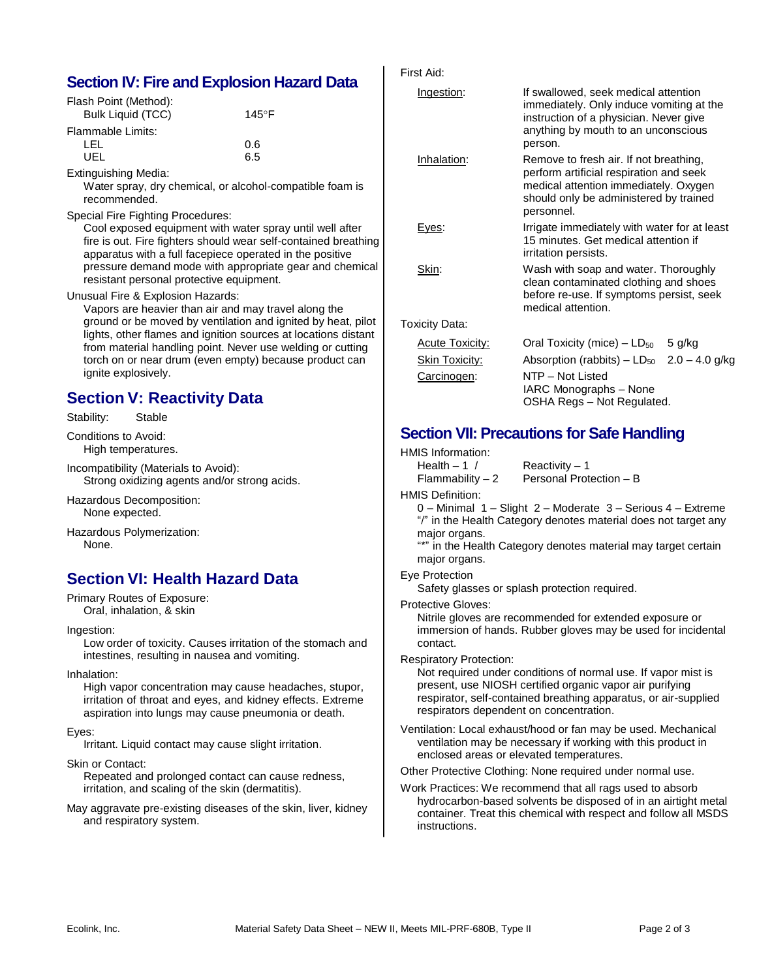## **Section IV: Fire and Explosion Hazard Data**

| Flash Point (Method):    |       |
|--------------------------|-------|
| <b>Bulk Liquid (TCC)</b> | 145°F |
| Flammable Limits:        |       |
| LEL                      | 0.6   |
| UEL                      | 6.5   |
|                          |       |

Extinguishing Media:

Water spray, dry chemical, or alcohol-compatible foam is recommended.

#### Special Fire Fighting Procedures:

Cool exposed equipment with water spray until well after fire is out. Fire fighters should wear self-contained breathing apparatus with a full facepiece operated in the positive pressure demand mode with appropriate gear and chemical resistant personal protective equipment.

Unusual Fire & Explosion Hazards:

Vapors are heavier than air and may travel along the ground or be moved by ventilation and ignited by heat, pilot lights, other flames and ignition sources at locations distant from material handling point. Never use welding or cutting torch on or near drum (even empty) because product can ignite explosively.

## **Section V: Reactivity Data**

Stability: Stable

Conditions to Avoid: High temperatures.

Incompatibility (Materials to Avoid): Strong oxidizing agents and/or strong acids.

Hazardous Decomposition: None expected.

Hazardous Polymerization: None.

# **Section VI: Health Hazard Data**

Primary Routes of Exposure: Oral, inhalation, & skin

Ingestion:

Low order of toxicity. Causes irritation of the stomach and intestines, resulting in nausea and vomiting.

Inhalation:

High vapor concentration may cause headaches, stupor, irritation of throat and eyes, and kidney effects. Extreme aspiration into lungs may cause pneumonia or death.

#### Eyes:

Irritant. Liquid contact may cause slight irritation.

Skin or Contact:

Repeated and prolonged contact can cause redness, irritation, and scaling of the skin (dermatitis).

May aggravate pre-existing diseases of the skin, liver, kidney and respiratory system.

| First Aid: |  |
|------------|--|
|------------|--|

| Ingestion:             | If swallowed, seek medical attention<br>immediately. Only induce vomiting at the<br>instruction of a physician. Never give<br>anything by mouth to an unconscious<br>person.       |  |  |
|------------------------|------------------------------------------------------------------------------------------------------------------------------------------------------------------------------------|--|--|
| Inhalation:            | Remove to fresh air. If not breathing,<br>perform artificial respiration and seek<br>medical attention immediately. Oxygen<br>should only be administered by trained<br>personnel. |  |  |
| Eyes:                  | Irrigate immediately with water for at least<br>15 minutes. Get medical attention if<br>irritation persists.                                                                       |  |  |
| Skin:                  | Wash with soap and water. Thoroughly<br>clean contaminated clothing and shoes<br>before re-use. If symptoms persist, seek<br>medical attention.                                    |  |  |
| Toxicity Data:         |                                                                                                                                                                                    |  |  |
| <b>Acute Toxicity:</b> | Oral Toxicity (mice) $-$ LD <sub>50</sub> 5 g/kg                                                                                                                                   |  |  |
| <b>Skin Toxicity:</b>  | Absorption (rabbits) - $LD_{50}$ 2.0 - 4.0 g/kg                                                                                                                                    |  |  |
| Carcinogen:            | NTP - Not Listed<br>IARC Monographs - None<br>OSHA Regs - Not Regulated.                                                                                                           |  |  |

## **Section VII: Precautions for Safe Handling**

HMIS Information:

| Health $-1/$            | Reactivity - 1                                                  |
|-------------------------|-----------------------------------------------------------------|
| $Flammablity - 2$       | Personal Protection - B                                         |
| <b>HMIS Definition:</b> |                                                                 |
|                         | 0 – Minimal 1 – Slight 2 – Moderate 3 – Serious 4 – Extreme     |
|                         | "/" in the Health Category denotes material does not target any |
| major organs.           |                                                                 |
|                         |                                                                 |

"\*" in the Health Category denotes material may target certain major organs.

Eye Protection

Safety glasses or splash protection required.

Protective Gloves:

Nitrile gloves are recommended for extended exposure or immersion of hands. Rubber gloves may be used for incidental contact.

Respiratory Protection:

Not required under conditions of normal use. If vapor mist is present, use NIOSH certified organic vapor air purifying respirator, self-contained breathing apparatus, or air-supplied respirators dependent on concentration.

Ventilation: Local exhaust/hood or fan may be used. Mechanical ventilation may be necessary if working with this product in enclosed areas or elevated temperatures.

Other Protective Clothing: None required under normal use.

Work Practices: We recommend that all rags used to absorb hydrocarbon-based solvents be disposed of in an airtight metal container. Treat this chemical with respect and follow all MSDS instructions.